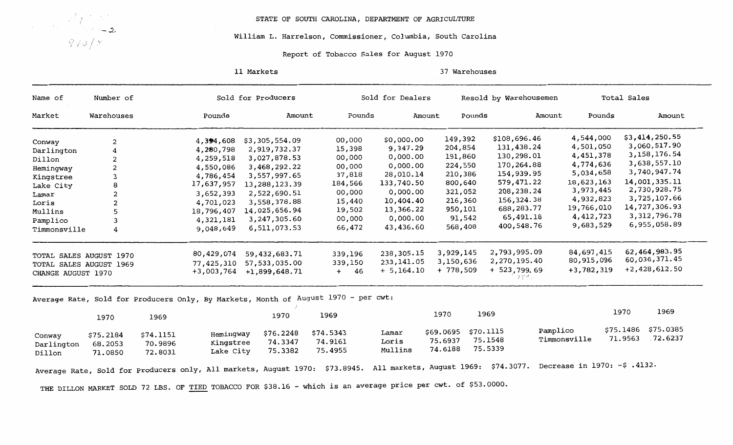

STATE OF SOUTH CAROLINA, DEPARTMENT OF AGRICULTURE

## William L. Harrelson, Commissioner, Columbia, South Carolina

## Report of Tobacco Sales for August 1970

11 Markets 37 Warehouses

| Name of              | Number of               | Sold for Producers   |                        |                 |                                                                                    | Sold for Dealers |                    | Resold by Warehousemen  | Total Sales  |                        |  |
|----------------------|-------------------------|----------------------|------------------------|-----------------|------------------------------------------------------------------------------------|------------------|--------------------|-------------------------|--------------|------------------------|--|
| Market               | Warehouses              |                      | Pounds                 | Amount          | Pounds                                                                             |                  | Pounds<br>Amount   | Amount                  | Pounds       | Amount                 |  |
|                      |                         |                      | 4,394,608              | \$3,305,554.09  | 00,000                                                                             | \$0,000.00       | 149,392            | \$108,696.46            | 4,544,000    | \$3,414,250.55         |  |
| Conway               | $\overline{\mathbf{c}}$ |                      | 4,280,798              | 2,919,732.37    | 15,398                                                                             | 9,347.29         | 204,854            | 131,438.24              | 4,501,050    | 3,060,517.90           |  |
| Darlington           | 4                       |                      | 4,259,518              | 3,027,878.53    | 00,000                                                                             | 0,000.00         | 191,860            | 130,298.01              | 4,451,378    | 3,158,176.54           |  |
| Dillon               | 2                       |                      |                        | 3,468,292.22    | 00,000                                                                             | 0,000.00         | 224,550            | 170,264.88              | 4,774,636    | 3,638,557.10           |  |
| Hemingway            | 2                       |                      | 4,550,086              |                 | 37,818                                                                             | 28,010.14        | 210,386            | 154,939.95              | 5,034,658    | 3,740,947.74           |  |
| Kingstree            | 3                       |                      | 4,786,454              | 3,557,997.65    | 184,566                                                                            | 133,740.50       | 800,640            | 579,471.22              | 18,623,163   | 14,001,335.11          |  |
| Lake City            | 8                       |                      | 17,637,957             | 13,288,123.39   |                                                                                    | 0,000.00         | 321,052            | 208,238.24              | 3,973,445    | 2,730,928.75           |  |
| Lamar                | 2                       |                      | 3,652,393              | 2,522,690.51    | 00,000                                                                             | 10,404.40        | 216,360            | 156,324.38              | 4,932,823    | 3,725,107.66           |  |
| Loris                | 2                       |                      | 4,701,023              | 3,558,378.88    | 15,440                                                                             |                  | 950,101            | 688,283.77              | 19,766,010   | 14,727,306.93          |  |
| Mullins              | 5                       |                      | 18,796,407             | 14,025,656.94   | 19,502                                                                             | 13,366.22        |                    | 65,491.18               | 4,412,723    | 3,312,796.78           |  |
| Pamplico             | 3                       |                      | 4,321,181              | 3,247,305.60    | 00,000                                                                             | 0,000.00         | 91,542             |                         | 9,683,529    | 6,955,058.89           |  |
| Timmonsville         | 4                       |                      | 9,048,649              | 6,511,073.53    | 66,472                                                                             | 43,436.60        | 568,408            | 400,548.76              |              |                        |  |
|                      | TOTAL SALES AUGUST 1970 |                      | 80,429,074             | 59,432,683.71   | 339,196                                                                            | 238,305.15       | 3,929,145          | 2,793,995.09            | 84,697,415   | 62,464,983.95          |  |
|                      | TOTAL SALES AUGUST 1969 |                      | 77,425,310             | 57,533,035.00   | 339,150                                                                            | 233, 141.05      | 3,150,636          | 2,270,195.40            | 80,915,096   | 60,036,371.45          |  |
| CHANGE AUGUST 1970   |                         |                      | $+3,003,764$           | $+1,899,648.71$ | 46<br>$+$                                                                          | $+ 5,164.10$     | $+778,509$         | $+ 523, 799.69$<br>クゲソテ | $+3,782,319$ | $+2,428,612.50$        |  |
|                      |                         |                      |                        |                 | Average Rate, Sold for Producers Only, By Markets, Month of August 1970 - per cwt: |                  |                    |                         |              |                        |  |
|                      | 1970                    | 1969                 |                        | 1970            | 1969                                                                               |                  | 1970               | 1969                    |              | 1969<br>1970           |  |
|                      |                         |                      |                        |                 | \$74.5343                                                                          | Lamar            | \$69.0695          | Pamplico<br>\$70.1115   |              | \$75.0385<br>\$75.1486 |  |
|                      |                         |                      |                        | \$76.2248       |                                                                                    |                  |                    |                         |              |                        |  |
| Conway<br>Darlington | \$75.2184<br>68.2053    | \$74.1151<br>70.9896 | Hemingway<br>Kingstree | 74.3347         | 74.9161                                                                            | Loris            | 75.6937<br>74.6188 | 75.1548<br>75.5339      | Timmonsville | .72.6237<br>71.9563    |  |

THE DILLON MARKET SOLD 72 LBS. OF TIED TOBACCO FOR \$38.16 - which is an average price per cwt. of \$53.0000.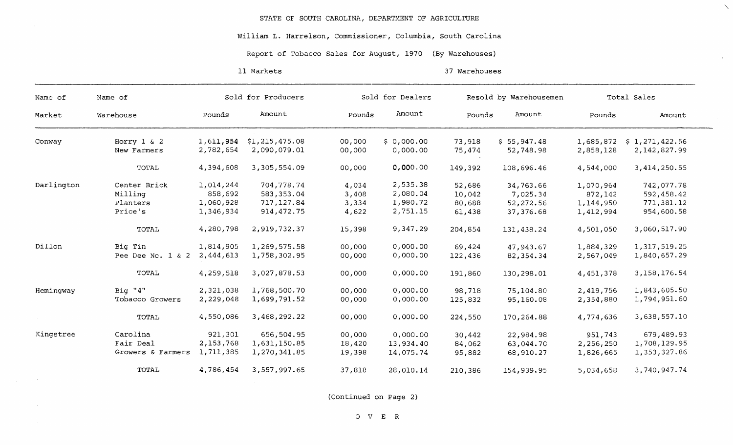## William L. Harrelson, Commissioner, Columbia, South Carolina

## Report of Tobacco Sales for August, 1970 (By Warehouses)

11 Markets

 $\sim$   $\sim$ 

 $\sim$   $\sim$ 

37 Warehouses

 $\Delta$ 

 $\sim \lambda_{\rm{max}}$ 

| Name of    | Name of              | Sold for Producers |                |  | Sold for Dealers |            |         | Resold by Warehousemen | Total Sales |                |
|------------|----------------------|--------------------|----------------|--|------------------|------------|---------|------------------------|-------------|----------------|
| Market     | Warehouse            | Pounds             | Amount         |  | Pounds           | Amount     | Pounds  | Amount                 | Pounds      | Amount         |
| Conway     | Horry $1 \& 2$       | 1,611,954          | \$1,215,475.08 |  | 00,000           | \$0,000.00 | 73,918  | \$55,947.48            | 1,685,872   | \$1,271,422.56 |
|            | New Farmers          | 2,782,654          | 2,090,079.01   |  | 00,000           | 0,000.00   | 75,474  | 52,748.98              | 2,858,128   | 2,142,827.99   |
|            | TOTAL                | 4,394,608          | 3,305,554.09   |  | 00,000           | 0,000.00   | 149,392 | 108,696.46             | 4,544,000   | 3,414,250.55   |
| Darlington | Center Brick         | 1,014,244          | 704,778.74     |  | 4,034            | 2,535.38   | 52,686  | 34,763.66              | 1,070,964   | 742,077.78     |
|            | Milling              | 858,692            | 583,353.04     |  | 3,408            | 2,080.04   | 10,042  | 7,025.34               | 872,142     | 592,458.42     |
|            | Planters             | 1,060,928          | 717,127.84     |  | 3,334            | 1,980.72   | 80,688  | 52,272.56              | 1,144,950   | 771,381.12     |
|            | Price's              | 1,346,934          | 914,472.75     |  | 4,622            | 2,751.15   | 61,438  | 37,376.68              | 1,412,994   | 954,600.58     |
|            | TOTAL                | 4,280,798          | 2,919,732.37   |  | 15,398           | 9,347.29   | 204,854 | 131,438.24             | 4,501,050   | 3,060,517.90   |
| Dillon     | Big Tin              | 1,814,905          | 1,269,575.58   |  | 00,000           | 0,000.00   | 69,424  | 47,943.67              | 1,884,329   | 1,317,519.25   |
|            | Pee Dee No. $1 \& 2$ | 2,444,613          | 1,758,302.95   |  | 00,000           | 0,000.00   | 122,436 | 82,354.34              | 2,567,049   | 1,840,657.29   |
|            | TOTAL                | 4,259,518          | 3,027,878.53   |  | 00,000           | 0,000.00   | 191,860 | 130,298.01             | 4,451,378   | 3,158,176.54   |
| Hemingway  | Big "4"              | 2,321,038          | 1,768,500.70   |  | 00,000           | 0,000.00   | 98,718  | 75,104.80              | 2,419,756   | 1,843,605.50   |
|            | Tobacco Growers      | 2,229,048          | 1,699,791.52   |  | 00,000           | 0,000.00   | 125,832 | 95,160.08              | 2,354,880   | 1,794,951.60   |
|            | TOTAL                | 4,550,086          | 3,468,292.22   |  | 00,000           | 0,000.00   | 224,550 | 170,264.88             | 4,774,636   | 3,638,557.10   |
| Kingstree  | Carolina             | 921,301            | 656,504.95     |  | 00,000           | 0,000.00   | 30,442  | 22,984.98              | 951,743     | 679,489.93     |
|            | Fair Deal            | 2,153,768          | 1,631,150.85   |  | 18,420           | 13,934.40  | 84,062  | 63,044.70              | 2,256,250   | 1,708,129.95   |
|            | Growers & Farmers    | 1,711,385          | 1,270,341.85   |  | 19,398           | 14,075.74  | 95,882  | 68,910.27              | 1,826,665   | 1,353,327.86   |
|            | TOTAL                | 4,786,454          | 3,557,997.65   |  | 37,818           | 28,010.14  | 210,386 | 154,939.95             | 5,034,658   | 3,740,947.74   |

(Continued on Page 2)